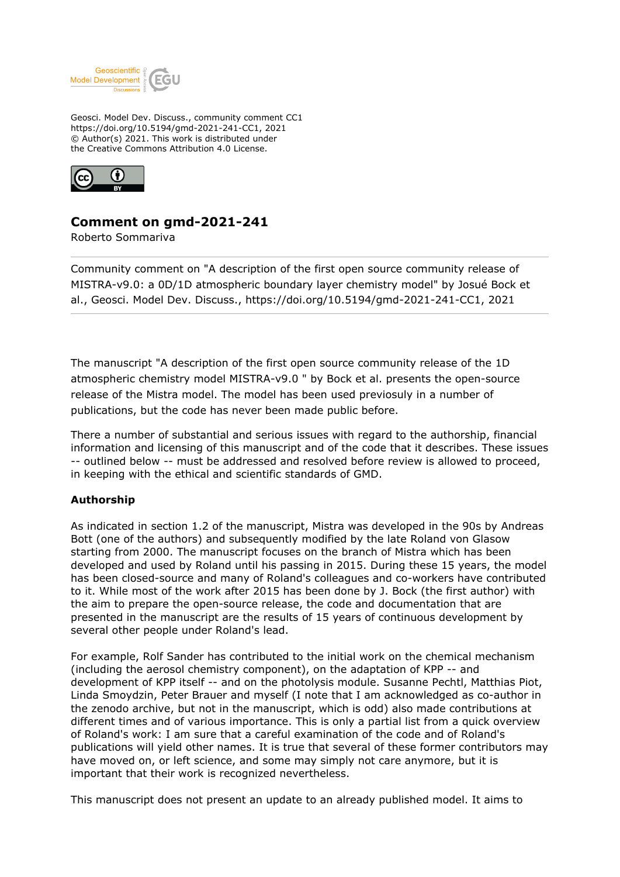

Geosci. Model Dev. Discuss., community comment CC1 https://doi.org/10.5194/gmd-2021-241-CC1, 2021 © Author(s) 2021. This work is distributed under the Creative Commons Attribution 4.0 License.



# **Comment on gmd-2021-241**

Roberto Sommariva

Community comment on "A description of the first open source community release of MISTRA-v9.0: a 0D/1D atmospheric boundary layer chemistry model" by Josué Bock et al., Geosci. Model Dev. Discuss., https://doi.org/10.5194/gmd-2021-241-CC1, 2021

The manuscript "A description of the first open source community release of the 1D atmospheric chemistry model MISTRA-v9.0 " by Bock et al. presents the open-source release of the Mistra model. The model has been used previosuly in a number of publications, but the code has never been made public before.

There a number of substantial and serious issues with regard to the authorship, financial information and licensing of this manuscript and of the code that it describes. These issues -- outlined below -- must be addressed and resolved before review is allowed to proceed, in keeping with the ethical and scientific standards of GMD.

## **Authorship**

As indicated in section 1.2 of the manuscript, Mistra was developed in the 90s by Andreas Bott (one of the authors) and subsequently modified by the late Roland von Glasow starting from 2000. The manuscript focuses on the branch of Mistra which has been developed and used by Roland until his passing in 2015. During these 15 years, the model has been closed-source and many of Roland's colleagues and co-workers have contributed to it. While most of the work after 2015 has been done by J. Bock (the first author) with the aim to prepare the open-source release, the code and documentation that are presented in the manuscript are the results of 15 years of continuous development by several other people under Roland's lead.

For example, Rolf Sander has contributed to the initial work on the chemical mechanism (including the aerosol chemistry component), on the adaptation of KPP -- and development of KPP itself -- and on the photolysis module. Susanne Pechtl, Matthias Piot, Linda Smoydzin, Peter Brauer and myself (I note that I am acknowledged as co-author in the zenodo archive, but not in the manuscript, which is odd) also made contributions at different times and of various importance. This is only a partial list from a quick overview of Roland's work: I am sure that a careful examination of the code and of Roland's publications will yield other names. It is true that several of these former contributors may have moved on, or left science, and some may simply not care anymore, but it is important that their work is recognized nevertheless.

This manuscript does not present an update to an already published model. It aims to